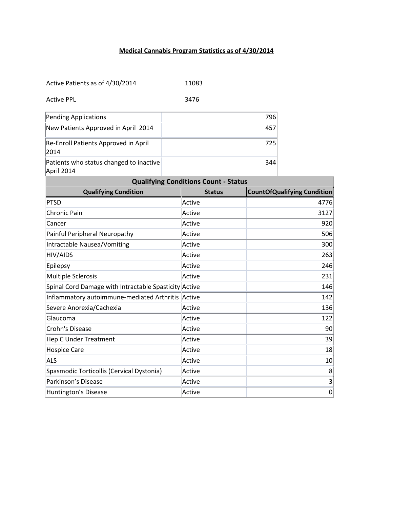## **Medical Cannabis Program Statistics as of 4/30/2014**

| Active Patients as of 4/30/2014                       |  | 11083         |     |                                    |  |
|-------------------------------------------------------|--|---------------|-----|------------------------------------|--|
| <b>Active PPL</b>                                     |  | 3476          |     |                                    |  |
| Pending Applications                                  |  |               | 796 |                                    |  |
| New Patients Approved in April 2014                   |  |               | 457 |                                    |  |
| Re-Enroll Patients Approved in April<br>2014          |  |               | 725 |                                    |  |
| Patients who status changed to inactive<br>April 2014 |  |               | 344 |                                    |  |
| <b>Qualifying Conditions Count - Status</b>           |  |               |     |                                    |  |
| <b>Qualifying Condition</b>                           |  | <b>Status</b> |     | <b>CountOfQualifying Condition</b> |  |
| PTSD                                                  |  | Active        |     | 4776                               |  |
| Chronic Pain                                          |  | Active        |     | 3127                               |  |
| Cancer                                                |  | Active        |     | 920                                |  |
| Painful Peripheral Neuropathy                         |  | Active        |     | 506                                |  |
| Intractable Nausea/Vomiting                           |  | Active        |     | 300                                |  |
| HIV/AIDS                                              |  | Active        |     | 263                                |  |
| Epilepsy                                              |  | Active        |     | 246                                |  |
| Multiple Sclerosis                                    |  | Active        |     | 231                                |  |
| Spinal Cord Damage with Intractable Spasticity Active |  |               | 146 |                                    |  |
| Inflammatory autoimmune-mediated Arthritis Active     |  |               | 142 |                                    |  |
| Severe Anorexia/Cachexia                              |  | Active        | 136 |                                    |  |
| Glaucoma                                              |  | Active        | 122 |                                    |  |
| Crohn's Disease                                       |  | Active        | 90  |                                    |  |
| Hep C Under Treatment                                 |  | Active        |     | 39                                 |  |
| Hospice Care                                          |  | Active        |     | 18                                 |  |
| <b>ALS</b>                                            |  | Active        | 10  |                                    |  |
| Spasmodic Torticollis (Cervical Dystonia)             |  | Active        | 8   |                                    |  |
| Parkinson's Disease                                   |  | Active        |     | 3                                  |  |
| Huntington's Disease                                  |  | Active        |     | $\mathbf 0$                        |  |